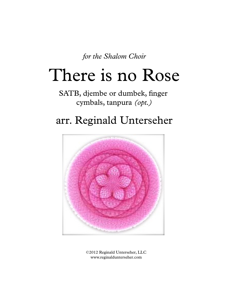*for the Shalom Choir*

# There is no Rose

SATB, djembe or dumbek, finger cymbals, tanpura *(opt.)*

## arr. Reginald Unterseher



©2012 Reginald Unterseher, LLC www.reginaldunterseher.com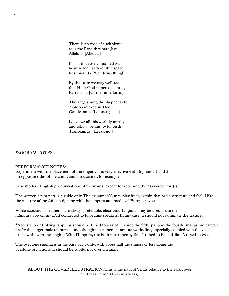There is no rose of such virtue as is the Rose that bare Jesu. Alleluia! [Alleluia]

For in this rose contained was heaven and earth in little space. Res miranda [Wondrous thing!]

By that rose we may well see that He is God in persons three, Pari forma [Of the same form!]

The angels sung the shepherds to "Gloria in excelsis Deo!" Gaudeamus. [Let us rejoice!]

Leave we all this worldly mirth, and follow we this joyful birth, Transeamus. [Let us go!]

#### PROGRAM NOTES:

#### PERFORMANCE NOTES:

Experiment with the placement of the singers. It is very effective with Sopranos 1 and 2 on opposite sides of the choir, and altos center, for example.

I use modern English pronunciations of the words, except for retaining the "djee-zoo" for Jesu.

The written drum part is a guide only.The drummer(s) may play freely within that basic structure and feel. I like the mixture of the African djembe with the tanpura and medieval European vocals.

While acoustic instruments are always preferable, electronic Tanpuras may be used. I use the iTanpura app on my iPad connected to full-range speakers. In any case, it should not dominate the texture.

\*Acoustic 5 or 6 string tanpuras should be tuned to a sa of E, using the fifth (pa) and the fourth (ma) as indicated. I prefer the larger male tanpura sound, though instrumental tanpura works fine, especially coupled with the vocal drone with overtone singing.With iTanpura, use both instruments,Tan. 1 tuned to Pa and Tan. 2 tuned to Ma.

The overtone singing is in the bass parts only, with about half the singers or less doing the overtone oscilations. It should be subtle, not overwhelming.

ABOUT THE COVER ILLUSTRATION:This is the path of Venus relative to the earth over an 8 year period (13 Venus years).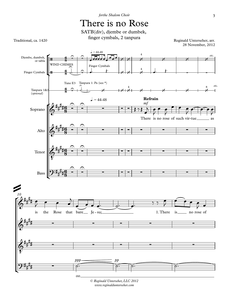### There is no Rose



Traditional, ca. 1420

Reginald Unterseher, arr. 28 November, 2012



© *Reginald Unterseher, LLC 2012 www.reginaldunterseher.com*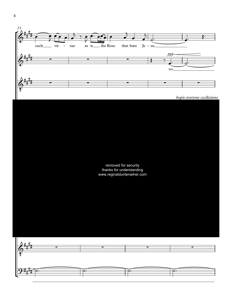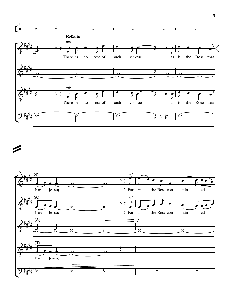



=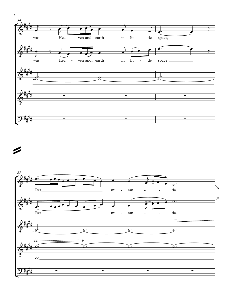

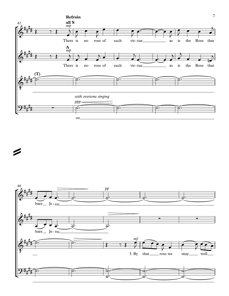



=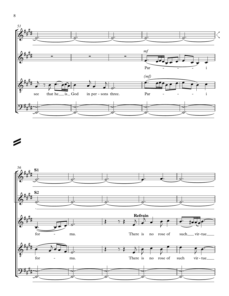



 $\overline{\phantom{a}}$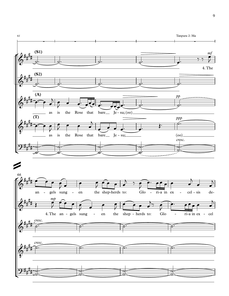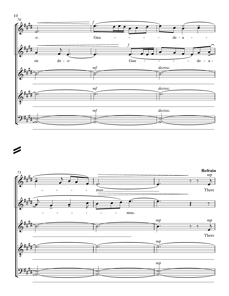



 $\blacktriangleright$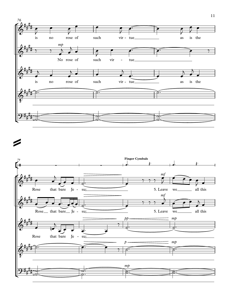

=

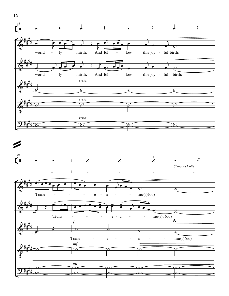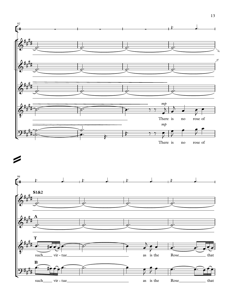